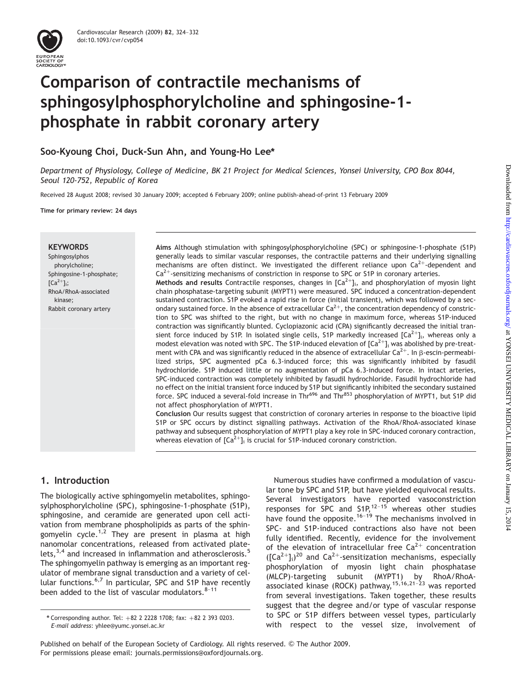# Comparison of contractile mechanisms of sphingosylphosphorylcholine and sphingosine-1 phosphate in rabbit coronary artery

Soo-Kyoung Choi, Duck-Sun Ahn, and Young-Ho Lee\*

Department of Physiology, College of Medicine, BK 21 Project for Medical Sciences, Yonsei University, CPO Box 8044, Seoul 120-752, Republic of Korea

Received 28 August 2008; revised 30 January 2009; accepted 6 February 2009; online publish-ahead-of-print 13 February 2009

Time for primary review: 24 days

## **KEYWORDS**

Sphingosylphos phorylcholine; Sphingosine-1-phosphate;  $\lceil$ Ca<sup>2+</sup>l<sub>i</sub>; RhoA/RhoA-associated kinase; Rabbit coronary artery

Aims Although stimulation with sphingosylphosphorylcholine (SPC) or sphingosine-1-phosphate (S1P) generally leads to similar vascular responses, the contractile patterns and their underlying signalling mechanisms are often distinct. We investigated the different reliance upon  $Ca^{2+}$ -dependent and  $Ca<sup>2+</sup>$ -sensitizing mechanisms of constriction in response to SPC or S1P in coronary arteries. Methods and results Contractile responses, changes in  $[Ca^{2+}]_i$ , and phosphorylation of myosin light chain phosphatase-targeting subunit (MYPT1) were measured. SPC induced a concentration-dependent sustained contraction. S1P evoked a rapid rise in force (initial transient), which was followed by a secondary sustained force. In the absence of extracellular  $Ca^{2+}$ , the concentration dependency of constriction to SPC was shifted to the right, but with no change in maximum force, whereas S1P-induced contraction was significantly blunted. Cyclopiazonic acid (CPA) significantly decreased the initial transient force induced by S1P. In isolated single cells, S1P markedly increased  $[Ca^{2+}]_i$ , whereas only a modest elevation was noted with SPC. The S1P-induced elevation of  $[Ca^{2+}]_i$  was abolished by pre-treatment with CPA and was significantly reduced in the absence of extracellular  $Ca^{2+}$ . In  $\beta$ -escin-permeabilized strips, SPC augmented pCa 6.3-induced force; this was significantly inhibited by fasudil hydrochloride. S1P induced little or no augmentation of pCa 6.3-induced force. In intact arteries, SPC-induced contraction was completely inhibited by fasudil hydrochloride. Fasudil hydrochloride had no effect on the initial transient force induced by S1P but significantly inhibited the secondary sustained force. SPC induced a several-fold increase in Thr<sup>696</sup> and Thr<sup>853</sup> phosphorylation of MYPT1, but S1P did not affect phosphorylation of MYPT1.

Conclusion Our results suggest that constriction of coronary arteries in response to the bioactive lipid S1P or SPC occurs by distinct signalling pathways. Activation of the RhoA/RhoA-associated kinase pathway and subsequent phosphorylation of MYPT1 play a key role in SPC-induced coronary contraction, whereas elevation of  $[Ca^{2+}]_i$  is crucial for S1P-induced coronary constriction.

# 1. Introduction

The biologically active sphingomyelin metabolites, sphingosylphosphorylcholine (SPC), sphingosine-1-phosphate (S1P), sphingosine, and ceramide are generated upon cell activation from membrane phospholipids as parts of the sphingomyelin cycle.<sup>1,2</sup> They are present in plasma at high nanomolar concentrations, released from activated platelets,  $3,4$  and increased in inflammation and atherosclerosis.<sup>5</sup> The sphingomyelin pathway is emerging as an important regulator of membrane signal transduction and a variety of cellular functions.6,7 In particular, SPC and S1P have recently been added to the list of vascular modulators.  $8-11$ 

Numerous studies have confirmed a modulation of vascular tone by SPC and S1P, but have yielded equivocal results. Several investigators have reported vasoconstriction responses for SPC and S1P,<sup>12-15</sup> whereas other studies have found the opposite.<sup>16–19</sup> The mechanisms involved in SPC- and S1P-induced contractions also have not been fully identified. Recently, evidence for the involvement of the elevation of intracellular free  $Ca^{2+}$  concentration  $([Ca<sup>2+</sup>]<sub>i</sub>)<sup>20</sup>$  and  $Ca<sup>2+</sup>$ -sensitization mechanisms, especially phosphorylation of myosin light chain phosphatase (MLCP)-targeting subunit (MYPT1) by RhoA/RhoAassociated kinase (ROCK) pathway,  $15,16,21-23$  was reported from several investigations. Taken together, these results suggest that the degree and/or type of vascular response to SPC or S1P differs between vessel types, particularly

Published on behalf of the European Society of Cardiology. All rights reserved. © The Author 2009. For permissions please email: journals.permissions@oxfordjournals.org.

Corresponding author. Tel: +82 2 2228 1708; fax: +82 2 393 0203.<br>E-mail address: yhlee@yumc.yonsei.ac.kr<br>With respect to the vessel size, involvement of E-mail address: yhlee@yumc.yonsei.ac.kr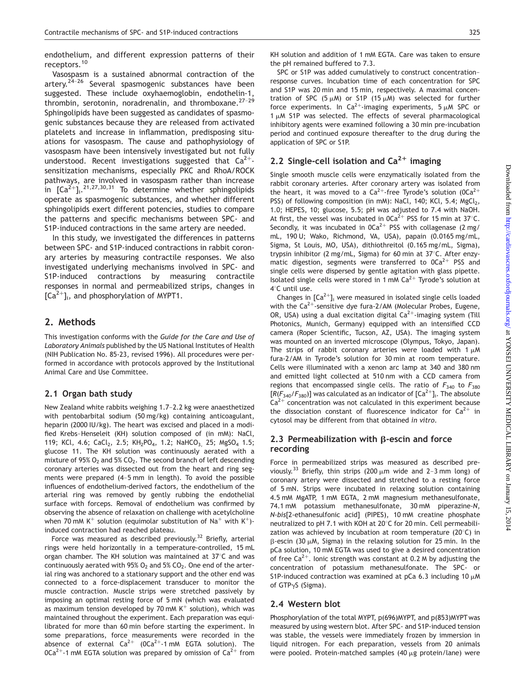endothelium, and different expression patterns of their receptors.<sup>10</sup>

Vasospasm is a sustained abnormal contraction of the artery. $2^{4-26}$  Several spasmogenic substances have been suggested. These include oxyhaemoglobin, endothelin-1, thrombin, serotonin, noradrenalin, and thromboxane.<sup>27-29</sup> Sphingolipids have been suggested as candidates of spasmogenic substances because they are released from activated platelets and increase in inflammation, predisposing situations for vasospasm. The cause and pathophysiology of vasospasm have been intensively investigated but not fully understood. Recent investigations suggested that  $Ca^{2+}$ sensitization mechanisms, especially PKC and RhoA/ROCK pathways, are involved in vasospasm rather than increase in  $[Ca^{2+}]\,$ ,  $^{21,27,30,31}$  To determine whether sphingolipids operate as spasmogenic substances, and whether different sphingolipids exert different potencies, studies to compare the patterns and specific mechanisms between SPC- and S1P-induced contractions in the same artery are needed.

In this study, we investigated the differences in patterns between SPC- and S1P-induced contractions in rabbit coronary arteries by measuring contractile responses. We also investigated underlying mechanisms involved in SPC- and S1P-induced contractions by measuring contractile responses in normal and permeabilized strips, changes in  $[Ca^{2+}]_i$ , and phosphorylation of MYPT1.

## 2. Methods

This investigation conforms with the Guide for the Care and Use of Laboratory Animals published by the US National Institutes of Health (NIH Publication No. 85-23, revised 1996). All procedures were performed in accordance with protocols approved by the Institutional Animal Care and Use Committee.

## 2.1 Organ bath study

New Zealand white rabbits weighing 1.7–2.2 kg were anaesthetized with pentobarbital sodium (50 mg/kg) containing anticoagulant, heparin (2000 IU/kg). The heart was excised and placed in a modified Krebs–Henseleit (KH) solution composed of (in mM): NaCl, 119; KCl, 4.6; CaCl<sub>2</sub>, 2.5; KH<sub>2</sub>PO<sub>4</sub>, 1.2; NaHCO<sub>3</sub>, 25; MgSO<sub>4</sub> 1.5; glucose 11. The KH solution was continuously aerated with a mixture of 95%  $O_2$  and 5%  $CO_2$ . The second branch of left descending coronary arteries was dissected out from the heart and ring segments were prepared (4–5 mm in length). To avoid the possible influences of endothelium-derived factors, the endothelium of the arterial ring was removed by gently rubbing the endothelial surface with forceps. Removal of endothelium was confirmed by observing the absence of relaxation on challenge with acetylcholine when 70 mM K<sup>+</sup> solution (equimolar substitution of Na<sup>+</sup> with K<sup>+</sup>)induced contraction had reached plateau.

Force was measured as described previously.<sup>32</sup> Briefly, arterial rings were held horizontally in a temperature-controlled, 15 mL organ chamber. The KH solution was maintained at  $37^{\circ}$ C and was continuously aerated with 95%  $O<sub>2</sub>$  and 5%  $CO<sub>2</sub>$ . One end of the arterial ring was anchored to a stationary support and the other end was connected to a force-displacement transducer to monitor the muscle contraction. Muscle strips were stretched passively by imposing an optimal resting force of 5 mN (which was evaluated as maximum tension developed by 70 mM  $K^+$  solution), which was maintained throughout the experiment. Each preparation was equilibrated for more than 60 min before starting the experiment. In some preparations, force measurements were recorded in the absence of external  $Ca^{2+}$  (OCa<sup>2+</sup>-1 mM EGTA solution). The  $0Ca^{2+}$ -1 mM EGTA solution was prepared by omission of  $Ca^{2+}$  from

KH solution and addition of 1 mM EGTA. Care was taken to ensure the pH remained buffered to 7.3.

SPC or S1P was added cumulatively to construct concentration– response curves. Incubation time of each concentration for SPC and S1P was 20 min and 15 min, respectively. A maximal concentration of SPC (5  $\mu$ M) or S1P (15  $\mu$ M) was selected for further force experiments. In Ca<sup>2+</sup>-imaging experiments,  $5 \mu M$  SPC or 1  $\mu$ M S1P was selected. The effects of several pharmacological inhibitory agents were examined following a 30 min pre-incubation period and continued exposure thereafter to the drug during the application of SPC or S1P.

## 2.2 Single-cell isolation and  $Ca^{2+}$  imaging

Single smooth muscle cells were enzymatically isolated from the rabbit coronary arteries. After coronary artery was isolated from the heart, it was moved to a  $Ca^{2+}$ -free Tyrode's solution (OCa<sup>2+</sup> PSS) of following composition (in mM): NaCl, 140; KCl, 5.4; MgCl<sub>2</sub>, 1.0; HEPES, 10; glucose, 5.5; pH was adjusted to 7.4 with NaOH. At first, the vessel was incubated in  $0Ca^{2+}$  PSS for 15 min at 37°C. Secondly, it was incubated in  $0Ca^{2+}$  PSS with collagenase (2 mg/ mL, 190 U; Wako, Richmond, VA, USA), papain (0.0165 mg/mL, Sigma, St Louis, MO, USA), dithiothreitol (0.165 mg/mL, Sigma), trypsin inhibitor (2 mg/mL, Sigma) for 60 min at  $37^{\circ}$ C. After enzymatic digestion, segments were transferred to  $0Ca^{2+}$  PSS and single cells were dispersed by gentle agitation with glass pipette. Isolated single cells were stored in 1 mM  $Ca^{2+}$  Tyrode's solution at 48C until use.

Changes in  $[Ca^{2+}]_i$  were measured in isolated single cells loaded with the  $Ca^{2+}$ -sensitive dye fura-2/AM (Molecular Probes, Eugene, OR, USA) using a dual excitation digital  $Ca^{2+}$ -imaging system (Till Photonics, Munich, Germany) equipped with an intensified CCD camera (Roper Scientific, Tucson, AZ, USA). The imaging system was mounted on an inverted microscope (Olympus, Tokyo, Japan). The strips of rabbit coronary arteries were loaded with 1  $\mu$ M fura-2/AM in Tyrode's solution for 30 min at room temperature. Cells were illuminated with a xenon arc lamp at 340 and 380 nm and emitted light collected at 510 nm with a CCD camera from regions that encompassed single cells. The ratio of  $F_{340}$  to  $F_{380}$  $[R(F_{340}/F_{380})]$  was calculated as an indicator of  $[Ca^{2+}]_i$ . The absolute  $Ca<sup>2+</sup>$  concentration was not calculated in this experiment because the dissociation constant of fluorescence indicator for  $Ca^{2+}$  in cytosol may be different from that obtained in vitro.

## 2.3 Permeabilization with  $\beta$ -escin and force recording

Force in permeabilized strips was measured as described previously.<sup>33</sup> Briefly, thin strips (200  $\mu$ m wide and 2-3 mm long) of coronary artery were dissected and stretched to a resting force of 5 mN. Strips were incubated in relaxing solution containing 4.5 mM MgATP, 1 mM EGTA, 2 mM magnesium methanesulfonate, 74.1 mM potassium methanesulfonate, 30 mM piperazine-N, N-bis[2-ethanesulfonic acid] (PIPES), 10 mM creatine phosphate neutralized to pH 7.1 with KOH at 20°C for 20 min. Cell permeabilization was achieved by incubation at room temperature (20 $\degree$ C) in  $\beta$ -escin (30  $\mu$ M, Sigma) in the relaxing solution for 25 min. In the pCa solution, 10 mM EGTA was used to give a desired concentration of free  $Ca^{2+}$ . Ionic strength was constant at 0.2 M by adjusting the concentration of potassium methanesulfonate. The SPC- or S1P-induced contraction was examined at pCa 6.3 including 10  $\mu$ M of GTP $\gamma$ S (Sigma).

## 2.4 Western blot

Phosphorylation of the total MYPT, p(696)MYPT, and p(853)MYPT was measured by using western blot. After SPC- and S1P-induced tension was stable, the vessels were immediately frozen by immersion in liquid nitrogen. For each preparation, vessels from 20 animals were pooled. Protein-matched samples  $(40 \mu g)$  protein/lane) were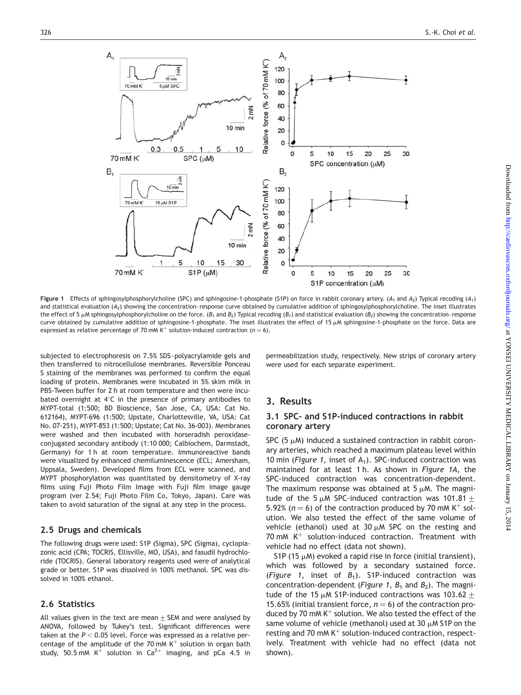

Figure 1 Effects of sphingosylphosphorylcholine (SPC) and sphingosine-1-phosphate (S1P) on force in rabbit coronary artery. (A<sub>1</sub> and A<sub>2</sub>) Typical recoding (A<sub>1</sub>) and statistical evaluation (A2) showing the concentration–response curve obtained by cumulative addition of sphingosylphosphorylcholine. The inset illustrates the effect of 5  $\mu$ M sphingosylphosphorylcholine on the force. ( $B_1$  and  $B_2$ ) Typical recoding ( $B_1$ ) and statistical evaluation ( $B_2$ ) showing the concentration–response curve obtained by cumulative addition of sphingosine-1-phosphate. The inset illustrates the effect of 15  $\mu$ M sphingosine-1-phosphate on the force. Data are expressed as relative percentage of 70 mM K<sup>+</sup> solution-induced contraction ( $n = 6$ ).

subjected to electrophoresis on 7.5% SDS–polyacrylamide gels and then transferred to nitrocellulose membranes. Reversible Ponceau S staining of the membranes was performed to confirm the equal loading of protein. Membranes were incubated in 5% skim milk in PBS-Tween buffer for 2 h at room temperature and then were incubated overnight at  $4^\circ$ C in the presence of primary antibodies to MYPT-total (1:500; BD Bioscience, San Jose, CA, USA: Cat No. 612164), MYPT-696 (1:500; Upstate, Charlottesville, VA, USA: Cat No. 07-251), MYPT-853 (1:500; Upstate; Cat No. 36-003). Membranes were washed and then incubated with horseradish peroxidaseconjugated secondary antibody (1:10 000; Calbiochem, Darmstadt, Germany) for 1 h at room temperature. Immunoreactive bands were visualized by enhanced chemiluminescence (ECL; Amersham, Uppsala, Sweden). Developed films from ECL were scanned, and MYPT phosphorylation was quantitated by densitometry of X-ray films using Fuji Photo Film Image with Fuji film image gauge program (ver 2.54; Fuji Photo Film Co, Tokyo, Japan). Care was taken to avoid saturation of the signal at any step in the process.

#### 2.5 Drugs and chemicals

The following drugs were used: S1P (Sigma), SPC (Sigma), cyclopiazonic acid (CPA; TOCRIS, Ellisville, MO, USA), and fasudil hydrochloride (TOCRIS). General laboratory reagents used were of analytical grade or better. S1P was dissolved in 100% methanol. SPC was dissolved in 100% ethanol.

#### 2.6 Statistics

All values given in the text are mean  $\pm$  SEM and were analysed by ANOVA, followed by Tukey's test. Significant differences were taken at the  $P < 0.05$  level. Force was expressed as a relative percentage of the amplitude of the 70 mM  $K^+$  solution in organ bath study, 50.5 mM K<sup>+</sup> solution in Ca<sup>2+</sup> imaging, and pCa 4.5 in permeabilization study, respectively. New strips of coronary artery were used for each separate experiment.

## 3. Results

#### 3.1 SPC- and S1P-induced contractions in rabbit coronary artery

SPC  $(5 \mu)$  induced a sustained contraction in rabbit coronary arteries, which reached a maximum plateau level within 10 min (Figure 1, inset of  $A_1$ ). SPC-induced contraction was maintained for at least 1 h. As shown in Figure 1A, the SPC-induced contraction was concentration-dependent. The maximum response was obtained at  $5 \mu M$ . The magnitude of the 5  $\mu$ M SPC-induced contraction was 101.81  $\pm$ 5.92% ( $n = 6$ ) of the contraction produced by 70 mM K<sup>+</sup> solution. We also tested the effect of the same volume of vehicle (ethanol) used at 30  $\mu$ M SPC on the resting and 70 mM  $K^+$  solution-induced contraction. Treatment with vehicle had no effect (data not shown).

S1P (15  $\mu$ M) evoked a rapid rise in force (initial transient), which was followed by a secondary sustained force. (Figure 1, inset of  $B_1$ ). S1P-induced contraction was concentration-dependent (Figure 1,  $B_1$  and  $B_2$ ). The magnitude of the 15  $\mu$ M S1P-induced contractions was 103.62  $\pm$ 15.65% (initial transient force,  $n = 6$ ) of the contraction produced by 70 mM  $K^+$  solution. We also tested the effect of the same volume of vehicle (methanol) used at 30  $\mu$ M S1P on the resting and 70 mM  $K^+$  solution-induced contraction, respectively. Treatment with vehicle had no effect (data not shown).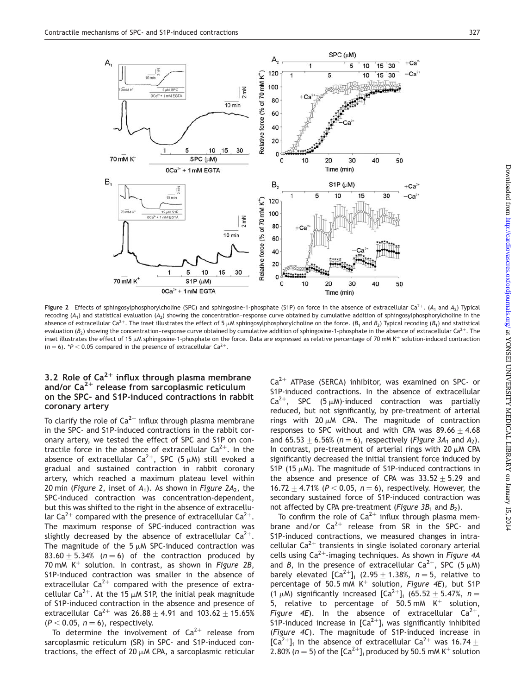

**Figure 2** Effects of sphingosylphosphorylcholine (SPC) and sphingosine-1-phosphate (S1P) on force in the absence of extracellular Ca<sup>2+</sup>. (A<sub>1</sub> and A<sub>2</sub>) Typical recoding  $(A_1)$  and statistical evaluation  $(A_2)$  showing the concentration–response curve obtained by cumulative addition of sphingosylphosphorylcholine in the absence of extracellular Ca<sup>2+</sup>. The inset illustrates the effect of 5  $\mu$ M sphingosylphosphorylcholine on the force. (B<sub>1</sub> and B<sub>2</sub>) Typical recoding (B<sub>1</sub>) and statistical evaluation ( $B_2$ ) showing the concentration–response curve obtained by cumulative addition of sphingosine-1-phosphate in the absence of extracellular Ca<sup>2+</sup>. The inset illustrates the effect of 15 µM sphingosine-1-phosphate on the force. Data are expressed as relative percentage of 70 mM K<sup>+</sup> solution-induced contraction  $(n = 6)$ . \*P < 0.05 compared in the presence of extracellular Ca<sup>2+</sup>.

## 3.2 Role of  $Ca^{2+}$  influx through plasma membrane and/or  $Ca^{2+}$  release from sarcoplasmic reticulum on the SPC- and S1P-induced contractions in rabbit coronary artery

To clarify the role of  $Ca^{2+}$  influx through plasma membrane in the SPC- and S1P-induced contractions in the rabbit coronary artery, we tested the effect of SPC and S1P on contractile force in the absence of extracellular  $Ca^{2+}$ . In the absence of extracellular Ca<sup>2+</sup>, SPC (5  $\mu$ M) still evoked a gradual and sustained contraction in rabbit coronary artery, which reached a maximum plateau level within 20 min (Figure 2, inset of  $A_1$ ). As shown in Figure 2 $A_2$ , the SPC-induced contraction was concentration-dependent, but this was shifted to the right in the absence of extracellular Ca<sup>2+</sup> compared with the presence of extracellular Ca<sup>2+</sup>. The maximum response of SPC-induced contraction was slightly decreased by the absence of extracellular  $Ca^{2+}$ . The magnitude of the 5  $\mu$ M SPC-induced contraction was 83.60  $\pm$  5.34% (n = 6) of the contraction produced by 70 mM  $K^+$  solution. In contrast, as shown in Figure 2B, S1P-induced contraction was smaller in the absence of extracellular  $Ca^{2+}$  compared with the presence of extracellular Ca<sup>2+</sup>. At the 15  $\mu$ M S1P, the initial peak magnitude of S1P-induced contraction in the absence and presence of extracellular  $Ca^{2+}$  was  $26.88 + 4.91$  and  $103.62 + 15.65%$  $(P < 0.05, n = 6)$ , respectively.

To determine the involvement of  $Ca^{2+}$  release from sarcoplasmic reticulum (SR) in SPC- and S1P-induced contractions, the effect of 20  $\mu$ M CPA, a sarcoplasmic reticular  $Ca^{2+}$  ATPase (SERCA) inhibitor, was examined on SPC- or S1P-induced contractions. In the absence of extracellular  $Ca^{2+}$ , SPC (5  $\mu$ M)-induced contraction was partially reduced, but not significantly, by pre-treatment of arterial rings with 20  $\mu$ M CPA. The magnitude of contraction responses to SPC without and with CPA was  $89.66 + 4.68$ and 65.53 + 6.56% ( $n = 6$ ), respectively (*Figure 3A*<sub>1</sub> and  $A_2$ ). In contrast, pre-treatment of arterial rings with 20  $\mu$ M CPA significantly decreased the initial transient force induced by S1P (15  $\mu$ M). The magnitude of S1P-induced contractions in the absence and presence of CPA was  $33.52 \pm 5.29$  and 16.72  $\pm$  4.71% (P < 0.05, n = 6), respectively. However, the secondary sustained force of S1P-induced contraction was not affected by CPA pre-treatment (Figure  $3B_1$  and  $B_2$ ).

To confirm the role of  $Ca^{2+}$  influx through plasma membrane and/or  $Ca^{2+}$  release from SR in the SPC- and S1P-induced contractions, we measured changes in intracellular  $Ca^{2+}$  transients in single isolated coronary arterial cells using  $Ca^{2+}$ -imaging techniques. As shown in Figure 4A and B, in the presence of extracellular Ca<sup>2+</sup>, SPC (5  $\mu$ M) barely elevated  $\left[Ca^{2+}\right]_i$  (2.95  $\pm$  1.38%, n = 5, relative to percentage of 50.5 mM  $K^+$  solution, Figure 4E), but S1P (1  $\mu$ M) significantly increased  $\left[Ca^{2+}\right]_i$  (65.52  $\pm$  5.47%, n = 5, relative to percentage of 50.5 mM  $K^+$  solution, Figure 4E). In the absence of extracellular  $Ca^{2+}$ S1P-induced increase in  $[Ca^{2+}]$ <sub>i</sub> was significantly inhibited (Figure 4C). The magnitude of S1P-induced increase in  $[Ca^{2+}]$ <sub>i</sub> in the absence of extracellular Ca<sup>2+</sup> was 16.74  $\pm$ 2.80% ( $n = 5$ ) of the  $\lceil Ca^{2+} \rceil$  produced by 50.5 mM K<sup>+</sup> solution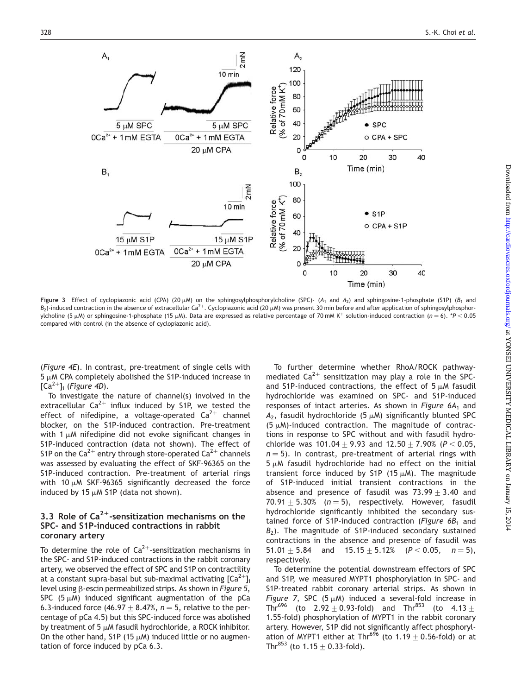

Figure 3 Effect of cyclopiazonic acid (CPA) (20  $\mu$ M) on the sphingosylphosphorylcholine (SPC)- (A<sub>1</sub> and A<sub>2</sub>) and sphingosine-1-phosphate (S1P) (B<sub>1</sub> and  $B_2$ )-induced contraction in the absence of extracellular Ca<sup>2+</sup>. Cyclopiazonic acid (20  $\mu$ M) was present 30 min before and after application of sphingosylphosphorylcholine (5 µM) or sphingosine-1-phosphate (15 µM). Data are expressed as relative percentage of 70 mM K<sup>+</sup> solution-induced contraction (n = 6). \*P < 0.05 compared with control (in the absence of cyclopiazonic acid).

(Figure 4E). In contrast, pre-treatment of single cells with  $5 \mu$ M CPA completely abolished the S1P-induced increase in  $[Ca^{2+}]$ <sub>i</sub> (Figure 4D).

To investigate the nature of channel(s) involved in the extracellular  $Ca^{2+}$  influx induced by S1P, we tested the effect of nifedipine, a voltage-operated  $Ca^{2+}$  channel blocker, on the S1P-induced contraction. Pre-treatment with 1  $\mu$ M nifedipine did not evoke significant changes in S1P-induced contraction (data not shown). The effect of S1P on the Ca<sup>2+</sup> entry through store-operated Ca<sup>2+</sup> channels was assessed by evaluating the effect of SKF-96365 on the S1P-induced contraction. Pre-treatment of arterial rings with 10  $\mu$ M SKF-96365 significantly decreased the force induced by 15  $\mu$ M S1P (data not shown).

#### 3.3 Role of  $Ca^{2+}$ -sensitization mechanisms on the SPC- and S1P-induced contractions in rabbit coronary artery

To determine the role of  $Ca^{2+}$ -sensitization mechanisms in the SPC- and S1P-induced contractions in the rabbit coronary artery, we observed the effect of SPC and S1P on contractility at a constant supra-basal but sub-maximal activating  $\lceil Ca^{2+} \rceil$ level using  $\beta$ -escin permeabilized strips. As shown in Figure 5, SPC (5  $\mu$ M) induced significant augmentation of the pCa 6.3-induced force (46.97  $\pm$  8.47%, n = 5, relative to the percentage of pCa 4.5) but this SPC-induced force was abolished by treatment of 5  $\mu$ M fasudil hydrochloride, a ROCK inhibitor. On the other hand, S1P (15  $\mu$ M) induced little or no augmentation of force induced by pCa 6.3.

To further determine whether RhoA/ROCK pathwaymediated  $Ca^{2+}$  sensitization may play a role in the SPCand S1P-induced contractions, the effect of  $5 \mu$ M fasudil hydrochloride was examined on SPC- and S1P-induced responses of intact arteries. As shown in Figure  $6A<sub>1</sub>$  and  $A_2$ , fasudil hydrochloride (5  $\mu$ M) significantly blunted SPC  $(5 \mu M)$ -induced contraction. The magnitude of contractions in response to SPC without and with fasudil hydrochloride was 101.04  $\pm$  9.93 and 12.50  $\pm$  7.90% (P < 0.05,  $n = 5$ ). In contrast, pre-treatment of arterial rings with  $5 \mu$ M fasudil hydrochloride had no effect on the initial transient force induced by S1P (15  $\mu$ M). The magnitude of S1P-induced initial transient contractions in the absence and presence of fasudil was  $73.99 \pm 3.40$  and 70.91  $\pm$  5.30% (n = 5), respectively. However, fasudil hydrochloride significantly inhibited the secondary sustained force of S1P-induced contraction (Figure  $6B<sub>1</sub>$  and  $B_2$ ). The magnitude of S1P-induced secondary sustained contractions in the absence and presence of fasudil was 51.01  $\pm$  5.84 and 15.15  $\pm$  5.12% (P < 0.05, n = 5), respectively.

To determine the potential downstream effectors of SPC and S1P, we measured MYPT1 phosphorylation in SPC- and S1P-treated rabbit coronary arterial strips. As shown in Figure 7, SPC (5  $\mu$ M) induced a several-fold increase in Thr<sup>696</sup> (to 2.92  $\pm$  0.93-fold) and Thr<sup>853</sup> (to 4.13  $\pm$ 1.55-fold) phosphorylation of MYPT1 in the rabbit coronary artery. However, S1P did not significantly affect phosphorylation of MYPT1 either at Thr<sup>696</sup> (to 1.19  $\pm$  0.56-fold) or at Thr<sup>853</sup> (to  $1.15 + 0.33$ -fold).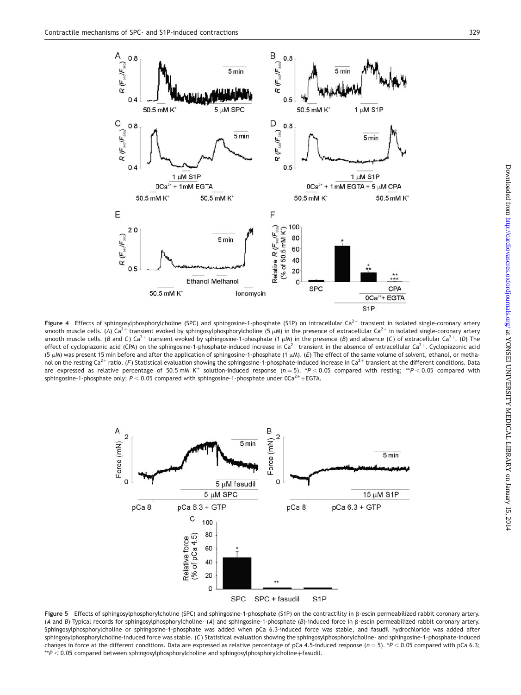

Figure 4 Effects of sphingosylphosphorylcholine (SPC) and sphingosine-1-phosphate (S1P) on intracellular Ca<sup>2+</sup> transient in isolated single-coronary artery smooth muscle cells. (A) Ca<sup>2+</sup> transient evoked by sphingosylphosphorylcholine (5  $\mu$ M) in the presence of extracellular Ca<sup>2+</sup> in isolated single-coronary artery smooth muscle cells. (B and C) Ca<sup>2+</sup> transient evoked by sphingosine-1-phosphate (1  $\mu$ M) in the presence (B) and absence (C) of extracellular Ca<sup>2+</sup>. (D) The effect of cyclopiazonic acid (CPA) on the sphingosine-1-phosphate-induced increase in Ca<sup>2+</sup> transient in the absence of extracellular Ca<sup>2+</sup>. Cyclopiazonic acid (5 mM) was present 15 min before and after the application of sphingosine-1-phosphate (1 mM). (E) The effect of the same volume of solvent, ethanol, or methanol on the resting Ca<sup>2+</sup> ratio. (F) Statistical evaluation showing the sphingosine-1-phosphate-induced increase in Ca<sup>2+</sup> transient at the different conditions. Data are expressed as relative percentage of 50.5 mM K<sup>+</sup> solution-induced response ( $n = 5$ ). \*P < 0.05 compared with resting; \*\*P < 0.05 compared with sphingosine-1-phosphate only;  $P < 0.05$  compared with sphingosine-1-phosphate under OCa<sup>2+</sup>+EGTA.



Figure 5 Effects of sphingosylphosphorylcholine (SPC) and sphingosine-1-phosphate (S1P) on the contractility in  $\beta$ -escin permeabilized rabbit coronary artery. (A and B) Typical records for sphingosylphosphorylcholine- (A) and sphingosine-1-phosphate (B)-induced force in b-escin permeabilized rabbit coronary artery. Sphingosylphosphorylcholine or sphingosine-1-phosphate was added when pCa 6.3-induced force was stable, and fasudil hydrochloride was added after sphingosylphosphorylcholine-induced force was stable. (C) Statistical evaluation showing the sphingosylphosphorylcholine- and sphingosine-1-phosphate-induced changes in force at the different conditions. Data are expressed as relative percentage of pCa 4.5-induced response (n = 5). \*P < 0.05 compared with pCa 6.3;  $*P < 0.05$  compared between sphingosylphosphorylcholine and sphingosylphosphorylcholine+fasudil.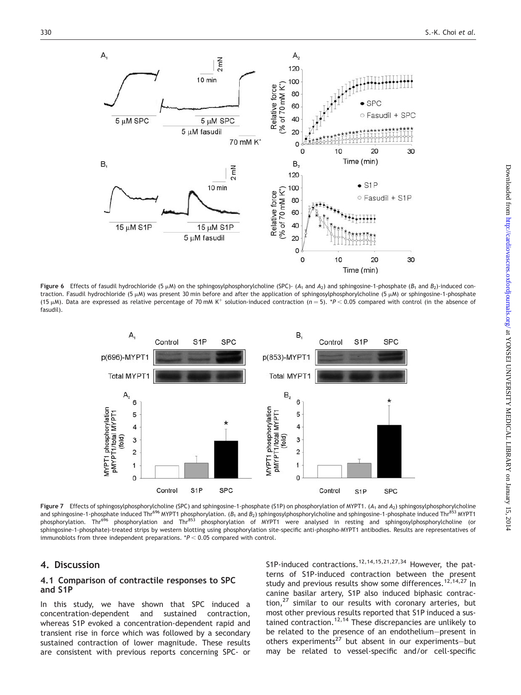

Figure 6 Effects of fasudil hydrochloride (5  $\mu$ M) on the sphingosylphosphorylcholine (SPC)- (A<sub>1</sub> and A<sub>2</sub>) and sphingosine-1-phosphate (B<sub>1</sub> and B<sub>2</sub>)-induced contraction. Fasudil hydrochloride (5  $\mu$ M) was present 30 min before and after the application of sphingosylphosphorylcholine (5  $\mu$ M) or sphingosine-1-phosphate (15  $\mu$ M). Data are expressed as relative percentage of 70 mM K<sup>+</sup> solution-induced contraction (n = 5). \*P < 0.05 compared with control (in the absence of fasudil).



Figure 7 Effects of sphingosylphosphorylcholine (SPC) and sphingosine-1-phosphate (S1P) on phosphorylation of MYPT1. (A<sub>1</sub> and A<sub>2</sub>) sphingosylphosphorylcholine and sphingosine-1-phosphate induced Thr<sup>696</sup> MYPT1 phosphorylation. ( $B_1$  and  $B_2$ ) sphingosylphosphorylcholine and sphingosine-1-phosphate induced Thr<sup>853</sup> MYPT1 phosphorylation. Thr<sup>696</sup> phosphorylation and Thr<sup>853</sup> phosphorylation of MYPT1 were analysed in resting and sphingosylphosphorylcholine (or sphingosine-1-phosphate)-treated strips by western blotting using phosphorylation site-specific anti-phospho-MYPT1 antibodies. Results are representatives of immunoblots from three independent preparations.  $*P < 0.05$  compared with control.

#### 4. Discussion

#### 4.1 Comparison of contractile responses to SPC and S1P

In this study, we have shown that SPC induced a concentration-dependent and sustained contraction, whereas S1P evoked a concentration-dependent rapid and transient rise in force which was followed by a secondary sustained contraction of lower magnitude. These results are consistent with previous reports concerning SPC- or S1P-induced contractions.<sup>12,14,15,21,27,34</sup> However, the patterns of S1P-induced contraction between the present study and previous results show some differences.<sup>12,14,27</sup> In canine basilar artery, S1P also induced biphasic contraction, $^{27}$  similar to our results with coronary arteries, but most other previous results reported that S1P induced a sustained contraction.<sup>12,14</sup> These discrepancies are unlikely to be related to the presence of an endothelium—present in others experiments<sup>27</sup> but absent in our experiments-but may be related to vessel-specific and/or cell-specific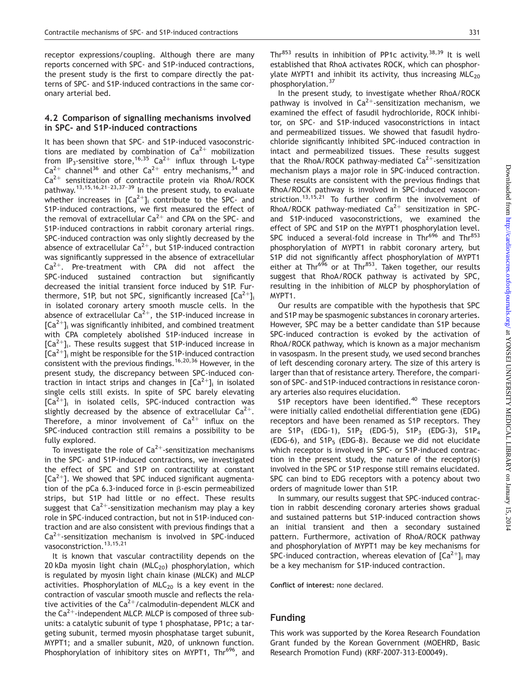receptor expressions/coupling. Although there are many reports concerned with SPC- and S1P-induced contractions, the present study is the first to compare directly the patterns of SPC- and S1P-induced contractions in the same coronary arterial bed.

#### 4.2 Comparison of signalling mechanisms involved in SPC- and S1P-induced contractions

It has been shown that SPC- and S1P-induced vasoconstrictions are mediated by combination of  $Ca^{2+}$  mobilization from IP<sub>3</sub>-sensitive store,<sup>16,35</sup> Ca<sup>2+</sup> influx through L-type  $Ca^{2+}$  channel<sup>36</sup> and other  $Ca^{2+}$  entry mechanisms,<sup>34</sup> and  $Ca^{2+}$  sensitization of contractile protein via RhoA/ROCK pathway.13,15,16,21–23,37–39 In the present study, to evaluate whether increases in  $[Ca^{2+}]_i$  contribute to the SPC- and S1P-induced contractions, we first measured the effect of the removal of extracellular  $Ca^{2+}$  and CPA on the SPC- and S1P-induced contractions in rabbit coronary arterial rings. SPC-induced contraction was only slightly decreased by the absence of extracellular  $Ca^{2+}$ , but S1P-induced contraction was significantly suppressed in the absence of extracellular  $Ca<sup>2+</sup>$ . Pre-treatment with CPA did not affect the SPC-induced sustained contraction but significantly decreased the initial transient force induced by S1P. Furthermore, S1P, but not SPC, significantly increased  $\lbrack Ca^{2+}\rbrack$ <sub>i</sub> in isolated coronary artery smooth muscle cells. In the absence of extracellular  $Ca^{2+}$ , the S1P-induced increase in  $[Ca^{2+}]$ <sub>i</sub> was significantly inhibited, and combined treatment with CPA completely abolished S1P-induced increase in  $[Ca^{2+}]_i$ . These results suggest that S1P-induced increase in  $[Ca<sup>2+</sup>]$ <sub>i</sub> might be responsible for the S1P-induced contraction consistent with the previous findings.16,20,36 However, in the present study, the discrepancy between SPC-induced contraction in intact strips and changes in  $[Ca^{2+}]_i$  in isolated single cells still exists. In spite of SPC barely elevating  $[Ca<sup>2+</sup>]$ <sub>i</sub> in isolated cells, SPC-induced contraction was slightly decreased by the absence of extracellular  $Ca^{2+}$ . Therefore, a minor involvement of  $Ca^{2+}$  influx on the SPC-induced contraction still remains a possibility to be fully explored.

To investigate the role of  $Ca^{2+}$ -sensitization mechanisms in the SPC- and S1P-induced contractions, we investigated the effect of SPC and S1P on contractility at constant  $[Ca^{2+}]$ . We showed that SPC induced significant augmentation of the pCa 6.3-induced force in  $\beta$ -escin permeabilized strips, but S1P had little or no effect. These results suggest that  $Ca^{2+}$ -sensitization mechanism may play a key role in SPC-induced contraction, but not in S1P-induced contraction and are also consistent with previous findings that a  $Ca<sup>2+</sup>$ -sensitization mechanism is involved in SPC-induced vasoconstriction.<sup>13,15,21</sup>

It is known that vascular contractility depends on the 20 kDa myosin light chain ( $MLC_{20}$ ) phosphorylation, which is regulated by myosin light chain kinase (MLCK) and MLCP activities. Phosphorylation of  $MLC_{20}$  is a key event in the contraction of vascular smooth muscle and reflects the relative activities of the  $Ca^{2+}/cal$ calmodulin-dependent MLCK and the  $Ca^{2+}$ -independent MLCP. MLCP is composed of three subunits: a catalytic subunit of type 1 phosphatase, PP1c; a targeting subunit, termed myosin phosphatase target subunit, MYPT1; and a smaller subunit, M20, of unknown function. Phosphorylation of inhibitory sites on MYPT1, Thr<sup>696</sup>, and Thr<sup>853</sup> results in inhibition of PP1c activity.<sup>38,39</sup> It is well established that RhoA activates ROCK, which can phosphorylate MYPT1 and inhibit its activity, thus increasing  $MLC_{20}$ phosphorylation.37

In the present study, to investigate whether RhoA/ROCK pathway is involved in  $Ca^{2+}$ -sensitization mechanism, we examined the effect of fasudil hydrochloride, ROCK inhibitor, on SPC- and S1P-induced vasoconstrictions in intact and permeabilized tissues. We showed that fasudil hydrochloride significantly inhibited SPC-induced contraction in intact and permeabilized tissues. These results suggest that the RhoA/ROCK pathway-mediated  $Ca^{2+}$ -sensitization mechanism plays a major role in SPC-induced contraction. These results are consistent with the previous findings that RhoA/ROCK pathway is involved in SPC-induced vasoconstriction.<sup>13,15,21</sup> To further confirm the involvement of RhoA/ROCK pathway-mediated  $Ca^{2+}$  sensitization in SPCand S1P-induced vasoconstrictions, we examined the effect of SPC and S1P on the MYPT1 phosphorylation level. SPC induced a several-fold increase in Thr<sup>696</sup> and Thr<sup>853</sup> phosphorylation of MYPT1 in rabbit coronary artery, but S1P did not significantly affect phosphorylation of MYPT1 either at Thr<sup>696</sup> or at Thr<sup>853</sup>. Taken together, our results suggest that RhoA/ROCK pathway is activated by SPC, resulting in the inhibition of MLCP by phosphorylation of MYPT1.

Our results are compatible with the hypothesis that SPC and S1P may be spasmogenic substances in coronary arteries. However, SPC may be a better candidate than S1P because SPC-induced contraction is evoked by the activation of RhoA/ROCK pathway, which is known as a major mechanism in vasospasm. In the present study, we used second branches of left descending coronary artery. The size of this artery is larger than that of resistance artery. Therefore, the comparison of SPC- and S1P-induced contractions in resistance coronary arteries also requires elucidation.

S1P receptors have been identified. $40$  These receptors were initially called endothelial differentiation gene (EDG) receptors and have been renamed as S1P receptors. They are  $S1P_1$  (EDG-1),  $S1P_2$  (EDG-5),  $S1P_3$  (EDG-3),  $S1P_4$  $(EDG-6)$ , and  $S1P<sub>5</sub>$  (EDG-8). Because we did not elucidate which receptor is involved in SPC- or S1P-induced contraction in the present study, the nature of the receptor(s) involved in the SPC or S1P response still remains elucidated. SPC can bind to EDG receptors with a potency about two orders of magnitude lower than S1P.

In summary, our results suggest that SPC-induced contraction in rabbit descending coronary arteries shows gradual and sustained patterns but S1P-induced contraction shows an initial transient and then a secondary sustained pattern. Furthermore, activation of RhoA/ROCK pathway and phosphorylation of MYPT1 may be key mechanisms for SPC-induced contraction, whereas elevation of  $[Ca^{2+}]_i$  may be a key mechanism for S1P-induced contraction.

Conflict of interest: none declared.

## Funding

This work was supported by the Korea Research Foundation Grant funded by the Korean Government (MOEHRD, Basic Research Promotion Fund) (KRF-2007-313-E00049).